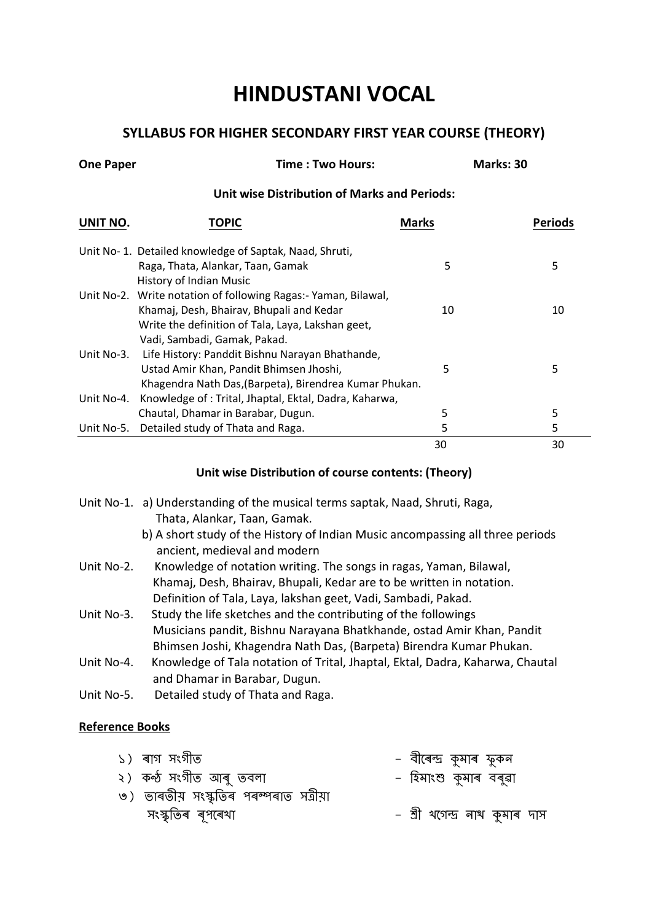# **HINDUSTANI VOCAL**

## **SYLLABUS FOR HIGHER SECONDARY FIRST YEAR COURSE (THEORY)**

| <b>One Paper</b> | Time: Two Hours:                                                |              | Marks: 30      |
|------------------|-----------------------------------------------------------------|--------------|----------------|
|                  | <b>Unit wise Distribution of Marks and Periods:</b>             |              |                |
| UNIT NO.         | TOPIC                                                           | <b>Marks</b> | <b>Periods</b> |
|                  | Unit No-1. Detailed knowledge of Saptak, Naad, Shruti,          |              |                |
|                  | Raga, Thata, Alankar, Taan, Gamak                               | 5            | 5              |
|                  | History of Indian Music                                         |              |                |
|                  | Unit No-2. Write notation of following Ragas: - Yaman, Bilawal, |              |                |
|                  | Khamaj, Desh, Bhairav, Bhupali and Kedar                        | 10           | 10             |
|                  | Write the definition of Tala, Laya, Lakshan geet,               |              |                |
|                  | Vadi, Sambadi, Gamak, Pakad.                                    |              |                |
| Unit No-3.       | Life History: Panddit Bishnu Narayan Bhathande,                 |              |                |
|                  | Ustad Amir Khan, Pandit Bhimsen Jhoshi,                         | 5            | 5              |
|                  | Khagendra Nath Das, (Barpeta), Birendrea Kumar Phukan.          |              |                |
| Unit No-4.       | Knowledge of: Trital, Jhaptal, Ektal, Dadra, Kaharwa,           |              |                |
|                  | Chautal, Dhamar in Barabar, Dugun.                              | 5            | 5              |
|                  | Unit No-5. Detailed study of Thata and Raga.                    | 5            | 5              |
|                  |                                                                 | 30           | 30             |

#### **Unit wise Distribution of course contents: (Theory)**

- Unit No-1. a) Understanding of the musical terms saptak, Naad, Shruti, Raga, Thata, Alankar, Taan, Gamak.
	- b) A short study of the History of Indian Music ancompassing all three periods ancient, medieval and modern
- Unit No-2. Knowledge of notation writing. The songs in ragas, Yaman, Bilawal, Khamaj, Desh, Bhairav, Bhupali, Kedar are to be written in notation. Definition of Tala, Laya, lakshan geet, Vadi, Sambadi, Pakad.
- Unit No-3. Study the life sketches and the contributing of the followings Musicians pandit, Bishnu Narayana Bhatkhande, ostad Amir Khan, Pandit Bhimsen Joshi, Khagendra Nath Das, (Barpeta) Birendra Kumar Phukan.
- Unit No-4. Knowledge of Tala notation of Trital, Jhaptal, Ektal, Dadra, Kaharwa, Chautal and Dhamar in Barabar, Dugun.
- Unit No-5. Detailed study of Thata and Raga.

### **Reference Books**

| ১) ৰাগ সংগীত                           | – বীৰেন্দ্ৰ কুমাৰ ফুকন        |
|----------------------------------------|-------------------------------|
| ২) কন্ঠ সংগীত আৰু তবলা                 | – হিমাংশু কুমাৰ বৰুৱা         |
| ৩) ভাৰতীয় সংস্কৃতিৰ পৰম্পৰাত সত্ৰীয়া |                               |
| সংস্কৃতিৰ ৰূপৰেথা                      | – শ্ৰী থগেন্দ্ৰ নাথ কুমাৰ দাস |